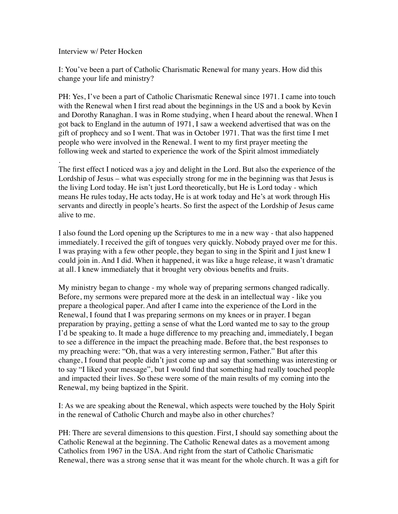Interview w/ Peter Hocken

I: You've been a part of Catholic Charismatic Renewal for many years. How did this change your life and ministry?

PH: Yes, I've been a part of Catholic Charismatic Renewal since 1971. I came into touch with the Renewal when I first read about the beginnings in the US and a book by Kevin and Dorothy Ranaghan. I was in Rome studying, when I heard about the renewal. When I got back to England in the autumn of 1971, I saw a weekend advertised that was on the gift of prophecy and so I went. That was in October 1971. That was the first time I met people who were involved in the Renewal. I went to my first prayer meeting the following week and started to experience the work of the Spirit almost immediately

. The first effect I noticed was a joy and delight in the Lord. But also the experience of the Lordship of Jesus – what was especially strong for me in the beginning was that Jesus is the living Lord today. He isn't just Lord theoretically, but He is Lord today - which means He rules today, He acts today, He is at work today and He's at work through His servants and directly in people's hearts. So first the aspect of the Lordship of Jesus came alive to me.

I also found the Lord opening up the Scriptures to me in a new way - that also happened immediately. I received the gift of tongues very quickly. Nobody prayed over me for this. I was praying with a few other people, they began to sing in the Spirit and I just knew I could join in. And I did. When it happened, it was like a huge release, it wasn't dramatic at all. I knew immediately that it brought very obvious benefits and fruits.

My ministry began to change - my whole way of preparing sermons changed radically. Before, my sermons were prepared more at the desk in an intellectual way - like you prepare a theological paper. And after I came into the experience of the Lord in the Renewal, I found that I was preparing sermons on my knees or in prayer. I began preparation by praying, getting a sense of what the Lord wanted me to say to the group I'd be speaking to. It made a huge difference to my preaching and, immediately, I began to see a difference in the impact the preaching made. Before that, the best responses to my preaching were: "Oh, that was a very interesting sermon, Father." But after this change, I found that people didn't just come up and say that something was interesting or to say "I liked your message", but I would find that something had really touched people and impacted their lives. So these were some of the main results of my coming into the Renewal, my being baptized in the Spirit.

I: As we are speaking about the Renewal, which aspects were touched by the Holy Spirit in the renewal of Catholic Church and maybe also in other churches?

PH: There are several dimensions to this question. First, I should say something about the Catholic Renewal at the beginning. The Catholic Renewal dates as a movement among Catholics from 1967 in the USA. And right from the start of Catholic Charismatic Renewal, there was a strong sense that it was meant for the whole church. It was a gift for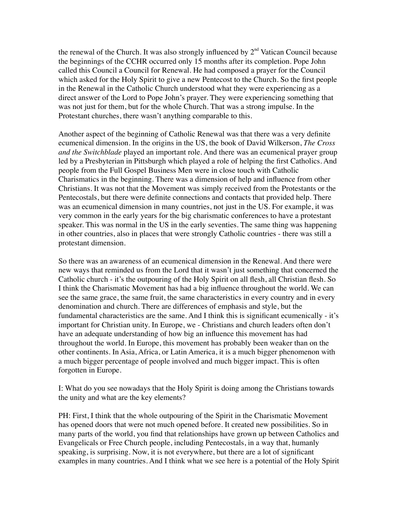the renewal of the Church. It was also strongly influenced by  $2<sup>nd</sup>$  Vatican Council because the beginnings of the CCHR occurred only 15 months after its completion. Pope John called this Council a Council for Renewal. He had composed a prayer for the Council which asked for the Holy Spirit to give a new Pentecost to the Church. So the first people in the Renewal in the Catholic Church understood what they were experiencing as a direct answer of the Lord to Pope John's prayer. They were experiencing something that was not just for them, but for the whole Church. That was a strong impulse. In the Protestant churches, there wasn't anything comparable to this.

Another aspect of the beginning of Catholic Renewal was that there was a very definite ecumenical dimension. In the origins in the US, the book of David Wilkerson, *The Cross and the Switchblade* played an important role. And there was an ecumenical prayer group led by a Presbyterian in Pittsburgh which played a role of helping the first Catholics. And people from the Full Gospel Business Men were in close touch with Catholic Charismatics in the beginning. There was a dimension of help and influence from other Christians. It was not that the Movement was simply received from the Protestants or the Pentecostals, but there were definite connections and contacts that provided help. There was an ecumenical dimension in many countries, not just in the US. For example, it was very common in the early years for the big charismatic conferences to have a protestant speaker. This was normal in the US in the early seventies. The same thing was happening in other countries, also in places that were strongly Catholic countries - there was still a protestant dimension.

So there was an awareness of an ecumenical dimension in the Renewal. And there were new ways that reminded us from the Lord that it wasn't just something that concerned the Catholic church - it's the outpouring of the Holy Spirit on all flesh, all Christian flesh. So I think the Charismatic Movement has had a big influence throughout the world. We can see the same grace, the same fruit, the same characteristics in every country and in every denomination and church. There are differences of emphasis and style, but the fundamental characteristics are the same. And I think this is significant ecumenically - it's important for Christian unity. In Europe, we - Christians and church leaders often don't have an adequate understanding of how big an influence this movement has had throughout the world. In Europe, this movement has probably been weaker than on the other continents. In Asia, Africa, or Latin America, it is a much bigger phenomenon with a much bigger percentage of people involved and much bigger impact. This is often forgotten in Europe.

I: What do you see nowadays that the Holy Spirit is doing among the Christians towards the unity and what are the key elements?

PH: First, I think that the whole outpouring of the Spirit in the Charismatic Movement has opened doors that were not much opened before. It created new possibilities. So in many parts of the world, you find that relationships have grown up between Catholics and Evangelicals or Free Church people, including Pentecostals, in a way that, humanly speaking, is surprising. Now, it is not everywhere, but there are a lot of significant examples in many countries. And I think what we see here is a potential of the Holy Spirit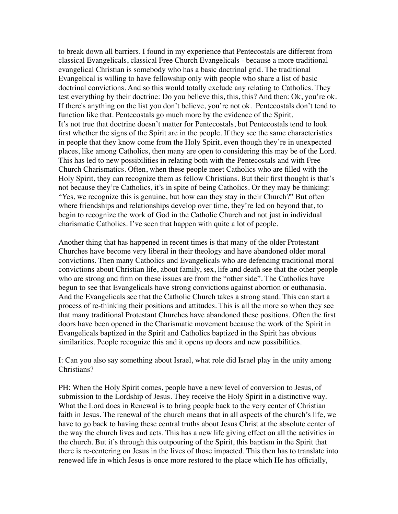to break down all barriers. I found in my experience that Pentecostals are different from classical Evangelicals, classical Free Church Evangelicals - because a more traditional evangelical Christian is somebody who has a basic doctrinal grid. The traditional Evangelical is willing to have fellowship only with people who share a list of basic doctrinal convictions. And so this would totally exclude any relating to Catholics. They test everything by their doctrine: Do you believe this, this, this? And then: Ok, you're ok. If there's anything on the list you don't believe, you're not ok. Pentecostals don't tend to function like that. Pentecostals go much more by the evidence of the Spirit. It's not true that doctrine doesn't matter for Pentecostals, but Pentecostals tend to look first whether the signs of the Spirit are in the people. If they see the same characteristics in people that they know come from the Holy Spirit, even though they're in unexpected places, like among Catholics, then many are open to considering this may be of the Lord. This has led to new possibilities in relating both with the Pentecostals and with Free Church Charismatics. Often, when these people meet Catholics who are filled with the Holy Spirit, they can recognize them as fellow Christians. But their first thought is that's not because they're Catholics, it's in spite of being Catholics. Or they may be thinking: "Yes, we recognize this is genuine, but how can they stay in their Church?" But often where friendships and relationships develop over time, they're led on beyond that, to begin to recognize the work of God in the Catholic Church and not just in individual charismatic Catholics. I've seen that happen with quite a lot of people.

Another thing that has happened in recent times is that many of the older Protestant Churches have become very liberal in their theology and have abandoned older moral convictions. Then many Catholics and Evangelicals who are defending traditional moral convictions about Christian life, about family, sex, life and death see that the other people who are strong and firm on these issues are from the "other side". The Catholics have begun to see that Evangelicals have strong convictions against abortion or euthanasia. And the Evangelicals see that the Catholic Church takes a strong stand. This can start a process of re-thinking their positions and attitudes. This is all the more so when they see that many traditional Protestant Churches have abandoned these positions. Often the first doors have been opened in the Charismatic movement because the work of the Spirit in Evangelicals baptized in the Spirit and Catholics baptized in the Spirit has obvious similarities. People recognize this and it opens up doors and new possibilities.

I: Can you also say something about Israel, what role did Israel play in the unity among Christians?

PH: When the Holy Spirit comes, people have a new level of conversion to Jesus, of submission to the Lordship of Jesus. They receive the Holy Spirit in a distinctive way. What the Lord does in Renewal is to bring people back to the very center of Christian faith in Jesus. The renewal of the church means that in all aspects of the church's life, we have to go back to having these central truths about Jesus Christ at the absolute center of the way the church lives and acts. This has a new life giving effect on all the activities in the church. But it's through this outpouring of the Spirit, this baptism in the Spirit that there is re-centering on Jesus in the lives of those impacted. This then has to translate into renewed life in which Jesus is once more restored to the place which He has officially,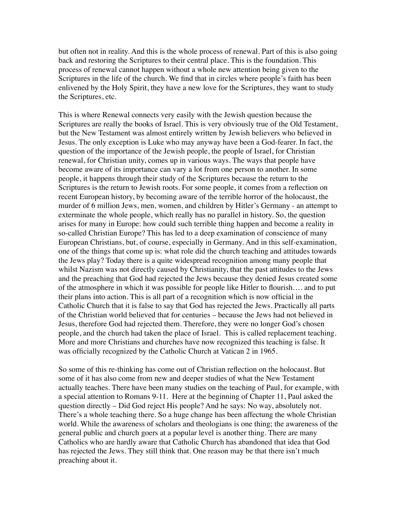but often not in reality. And this is the whole process of renewal. Part of this is also going back and restoring the Scriptures to their central place. This is the foundation. This process of renewal cannot happen without a whole new attention being given to the Scriptures in the life of the church. We find that in circles where people's faith has been enlivened by the Holy Spirit, they have a new love for the Scriptures, they want to study the Scriptures, etc.

This is where Renewal connects very easily with the Jewish question because the Scriptures are really the books of Israel. This is very obviously true of the Old Testament, but the New Testament was almost entirely written by Jewish believers who believed in Jesus. The only exception is Luke who may anyway have been a God-fearer. In fact, the question of the importance of the Jewish people, the people of Israel, for Christian renewal, for Christian unity, comes up in various ways. The ways that people have become aware of its importance can vary a lot from one person to another. In some people, it happens through their study of the Scriptures because the return to the Scriptures is the return to Jewish roots. For some people, it comes from a reflection on recent European history, by becoming aware of the terrible horror of the holocaust, the murder of 6 million Jews, men, women, and children by Hitler's Germany - an attempt to exterminate the whole people, which really has no parallel in history. So, the question arises for many in Europe: how could such terrible thing happen and become a reality in so-called Christian Europe? This has led to a deep examination of conscience of many European Christians, but, of course, especially in Germany. And in this self-examination, one of the things that come up is: what role did the church teaching and attitudes towards the Jews play? Today there is a quite widespread recognition among many people that whilst Nazism was not directly caused by Christianity, that the past attitudes to the Jews and the preaching that God had rejected the Jews because they denied Jesus created some of the atmosphere in which it was possible for people like Hitler to flourish…. and to put their plans into action. This is all part of a recognition which is now official in the Catholic Church that it is false to say that God has rejected the Jews. Practically all parts of the Christian world believed that for centuries – because the Jews had not believed in Jesus, therefore God had rejected them. Therefore, they were no longer God's chosen people, and the church had taken the place of Israel. This is called replacement teaching. More and more Christians and churches have now recognized this teaching is false. It was officially recognized by the Catholic Church at Vatican 2 in 1965.

So some of this re-thinking has come out of Christian reflection on the holocaust. But some of it has also come from new and deeper studies of what the New Testament actually teaches. There have been many studies on the teaching of Paul, for example, with a special attention to Romans 9-11. Here at the beginning of Chapter 11, Paul asked the question directly – Did God reject His people? And he says: No way, absolutely not. There's a whole teaching there. So a huge change has been affectung the whole Christian world. While the awareness of scholars and theologians is one thing; the awareness of the general public and church goers at a popular level is another thing. There are many Catholics who are hardly aware that Catholic Church has abandoned that idea that God has rejected the Jews. They still think that. One reason may be that there isn't much preaching about it.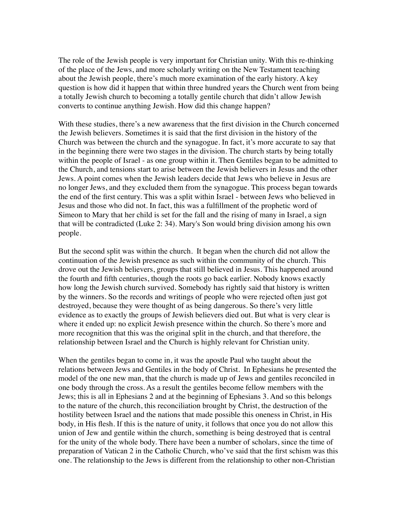The role of the Jewish people is very important for Christian unity. With this re-thinking of the place of the Jews, and more scholarly writing on the New Testament teaching about the Jewish people, there's much more examination of the early history. A key question is how did it happen that within three hundred years the Church went from being a totally Jewish church to becoming a totally gentile church that didn't allow Jewish converts to continue anything Jewish. How did this change happen?

With these studies, there's a new awareness that the first division in the Church concerned the Jewish believers. Sometimes it is said that the first division in the history of the Church was between the church and the synagogue. In fact, it's more accurate to say that in the beginning there were two stages in the division. The church starts by being totally within the people of Israel - as one group within it. Then Gentiles began to be admitted to the Church, and tensions start to arise between the Jewish believers in Jesus and the other Jews. A point comes when the Jewish leaders decide that Jews who believe in Jesus are no longer Jews, and they excluded them from the synagogue. This process began towards the end of the first century. This was a split within Israel - between Jews who believed in Jesus and those who did not. In fact, this was a fulfillment of the prophetic word of Simeon to Mary that her child is set for the fall and the rising of many in Israel, a sign that will be contradicted (Luke 2: 34). Mary's Son would bring division among his own people.

But the second split was within the church. It began when the church did not allow the continuation of the Jewish presence as such within the community of the church. This drove out the Jewish believers, groups that still believed in Jesus. This happened around the fourth and fifth centuries, though the roots go back earlier. Nobody knows exactly how long the Jewish church survived. Somebody has rightly said that history is written by the winners. So the records and writings of people who were rejected often just got destroyed, because they were thought of as being dangerous. So there's very little evidence as to exactly the groups of Jewish believers died out. But what is very clear is where it ended up: no explicit Jewish presence within the church. So there's more and more recognition that this was the original split in the church, and that therefore, the relationship between Israel and the Church is highly relevant for Christian unity.

When the gentiles began to come in, it was the apostle Paul who taught about the relations between Jews and Gentiles in the body of Christ. In Ephesians he presented the model of the one new man, that the church is made up of Jews and gentiles reconciled in one body through the cross. As a result the gentiles become fellow members with the Jews; this is all in Ephesians 2 and at the beginning of Ephesians 3. And so this belongs to the nature of the church, this reconciliation brought by Christ, the destruction of the hostility between Israel and the nations that made possible this oneness in Christ, in His body, in His flesh. If this is the nature of unity, it follows that once you do not allow this union of Jew and gentile within the church, something is being destroyed that is central for the unity of the whole body. There have been a number of scholars, since the time of preparation of Vatican 2 in the Catholic Church, who've said that the first schism was this one. The relationship to the Jews is different from the relationship to other non-Christian